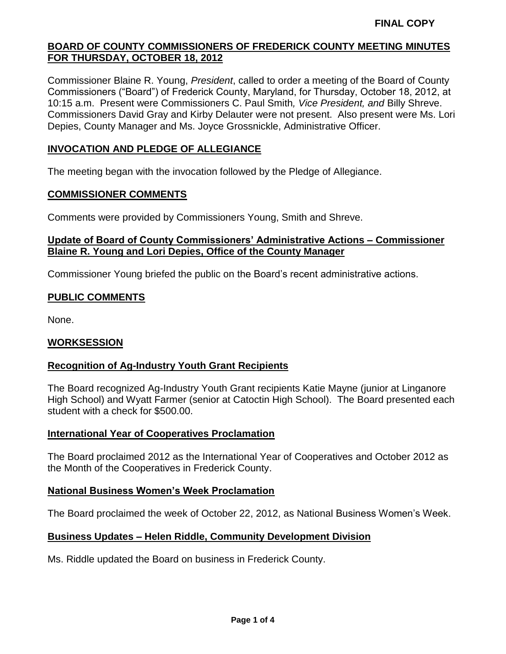Commissioner Blaine R. Young, *President*, called to order a meeting of the Board of County Commissioners ("Board") of Frederick County, Maryland, for Thursday, October 18, 2012, at 10:15 a.m. Present were Commissioners C. Paul Smith*, Vice President, and* Billy Shreve. Commissioners David Gray and Kirby Delauter were not present. Also present were Ms. Lori Depies, County Manager and Ms. Joyce Grossnickle, Administrative Officer.

## **INVOCATION AND PLEDGE OF ALLEGIANCE**

The meeting began with the invocation followed by the Pledge of Allegiance.

#### **COMMISSIONER COMMENTS**

Comments were provided by Commissioners Young, Smith and Shreve.

#### **Update of Board of County Commissioners' Administrative Actions – Commissioner Blaine R. Young and Lori Depies, Office of the County Manager**

Commissioner Young briefed the public on the Board's recent administrative actions.

#### **PUBLIC COMMENTS**

None.

#### **WORKSESSION**

#### **Recognition of Ag-Industry Youth Grant Recipients**

The Board recognized Ag-Industry Youth Grant recipients Katie Mayne (junior at Linganore High School) and Wyatt Farmer (senior at Catoctin High School). The Board presented each student with a check for \$500.00.

#### **International Year of Cooperatives Proclamation**

The Board proclaimed 2012 as the International Year of Cooperatives and October 2012 as the Month of the Cooperatives in Frederick County.

#### **National Business Women's Week Proclamation**

The Board proclaimed the week of October 22, 2012, as National Business Women's Week.

#### **Business Updates – Helen Riddle, Community Development Division**

Ms. Riddle updated the Board on business in Frederick County.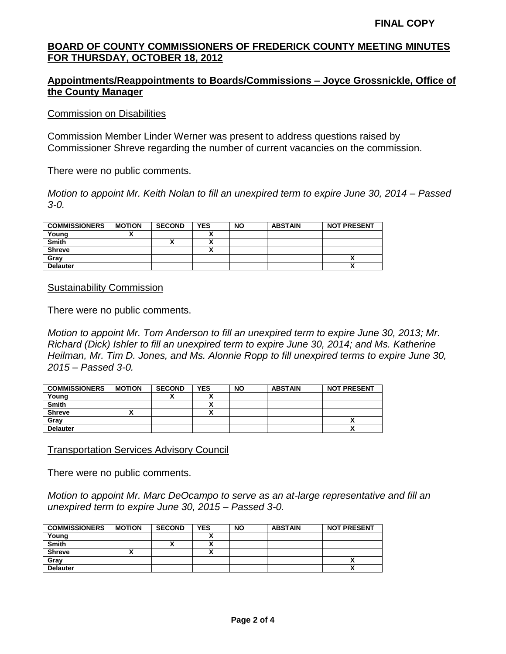## **Appointments/Reappointments to Boards/Commissions – Joyce Grossnickle, Office of the County Manager**

#### Commission on Disabilities

Commission Member Linder Werner was present to address questions raised by Commissioner Shreve regarding the number of current vacancies on the commission.

There were no public comments.

*Motion to appoint Mr. Keith Nolan to fill an unexpired term to expire June 30, 2014 – Passed 3-0.*

| <b>COMMISSIONERS</b> | <b>MOTION</b> | <b>SECOND</b> | <b>YES</b> | <b>NO</b> | <b>ABSTAIN</b> | <b>NOT PRESENT</b> |
|----------------------|---------------|---------------|------------|-----------|----------------|--------------------|
| Young                |               |               |            |           |                |                    |
| <b>Smith</b>         |               |               | ٠.         |           |                |                    |
| <b>Shreve</b>        |               |               | ٠.<br>     |           |                |                    |
| Grav                 |               |               |            |           |                | ^                  |
| <b>Delauter</b>      |               |               |            |           |                | ^                  |

#### Sustainability Commission

There were no public comments.

*Motion to appoint Mr. Tom Anderson to fill an unexpired term to expire June 30, 2013; Mr. Richard (Dick) Ishler to fill an unexpired term to expire June 30, 2014; and Ms. Katherine Heilman, Mr. Tim D. Jones, and Ms. Alonnie Ropp to fill unexpired terms to expire June 30, 2015 – Passed 3-0.*

| <b>COMMISSIONERS</b> | <b>MOTION</b> | <b>SECOND</b> | <b>YES</b> | <b>NO</b> | <b>ABSTAIN</b> | <b>NOT PRESENT</b> |
|----------------------|---------------|---------------|------------|-----------|----------------|--------------------|
| Young                |               |               |            |           |                |                    |
| <b>Smith</b>         |               |               |            |           |                |                    |
| <b>Shreve</b>        |               |               |            |           |                |                    |
| Gray                 |               |               |            |           |                |                    |
| <b>Delauter</b>      |               |               |            |           |                |                    |

Transportation Services Advisory Council

There were no public comments.

*Motion to appoint Mr. Marc DeOcampo to serve as an at-large representative and fill an unexpired term to expire June 30, 2015 – Passed 3-0.*

| <b>COMMISSIONERS</b> | <b>MOTION</b> | <b>SECOND</b> | <b>YES</b> | <b>NO</b> | <b>ABSTAIN</b> | <b>NOT PRESENT</b> |
|----------------------|---------------|---------------|------------|-----------|----------------|--------------------|
| Young                |               |               |            |           |                |                    |
| <b>Smith</b>         |               |               |            |           |                |                    |
| <b>Shreve</b>        |               |               |            |           |                |                    |
| Gray                 |               |               |            |           |                |                    |
| <b>Delauter</b>      |               |               |            |           |                |                    |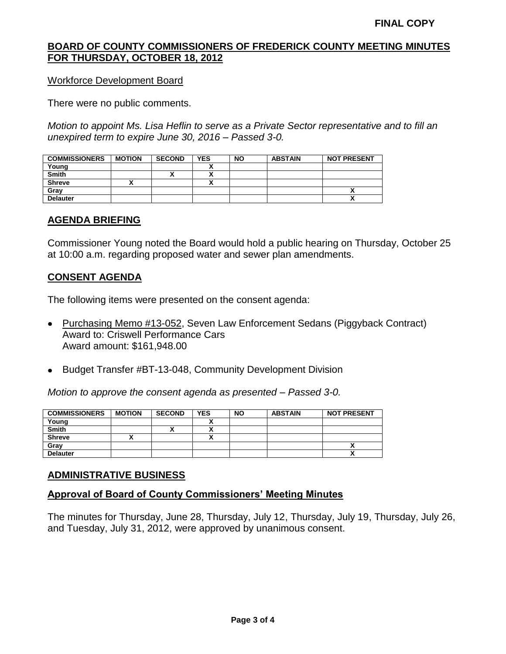Workforce Development Board

There were no public comments.

*Motion to appoint Ms. Lisa Heflin to serve as a Private Sector representative and to fill an unexpired term to expire June 30, 2016 – Passed 3-0.*

| <b>COMMISSIONERS</b> | <b>MOTION</b> | <b>SECOND</b> | <b>YES</b> | <b>NO</b> | <b>ABSTAIN</b> | <b>NOT PRESENT</b>         |
|----------------------|---------------|---------------|------------|-----------|----------------|----------------------------|
| Young                |               |               |            |           |                |                            |
| <b>Smith</b>         |               |               |            |           |                |                            |
| <b>Shreve</b>        |               |               |            |           |                |                            |
| Grav                 |               |               |            |           |                | ,,                         |
| <b>Delauter</b>      |               |               |            |           |                | $\boldsymbol{\mathcal{L}}$ |

## **AGENDA BRIEFING**

Commissioner Young noted the Board would hold a public hearing on Thursday, October 25 at 10:00 a.m. regarding proposed water and sewer plan amendments.

## **CONSENT AGENDA**

The following items were presented on the consent agenda:

- Purchasing Memo #13-052, Seven Law Enforcement Sedans (Piggyback Contract) Award to: Criswell Performance Cars Award amount: \$161,948.00
- Budget Transfer #BT-13-048, Community Development Division

*Motion to approve the consent agenda as presented – Passed 3-0.*

| <b>COMMISSIONERS</b> | <b>MOTION</b> | <b>SECOND</b> | <b>YES</b> | <b>NO</b> | <b>ABSTAIN</b> | <b>NOT PRESENT</b> |
|----------------------|---------------|---------------|------------|-----------|----------------|--------------------|
| Young                |               |               |            |           |                |                    |
| <b>Smith</b>         |               |               |            |           |                |                    |
| <b>Shreve</b>        |               |               |            |           |                |                    |
| Gray                 |               |               |            |           |                |                    |
| <b>Delauter</b>      |               |               |            |           |                |                    |

## **ADMINISTRATIVE BUSINESS**

## **Approval of Board of County Commissioners' Meeting Minutes**

The minutes for Thursday, June 28, Thursday, July 12, Thursday, July 19, Thursday, July 26, and Tuesday, July 31, 2012, were approved by unanimous consent.